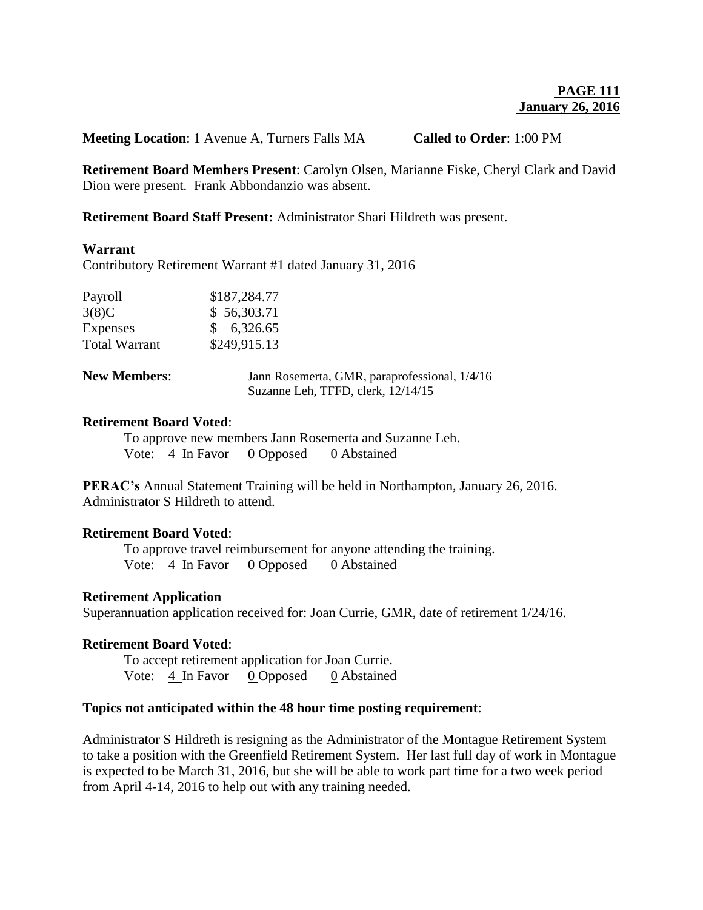**Meeting Location**: 1 Avenue A, Turners Falls MA **Called to Order**: 1:00 PM

**Retirement Board Members Present**: Carolyn Olsen, Marianne Fiske, Cheryl Clark and David Dion were present. Frank Abbondanzio was absent.

**Retirement Board Staff Present:** Administrator Shari Hildreth was present.

### **Warrant**

Contributory Retirement Warrant #1 dated January 31, 2016

| Payroll              | \$187,284.77 |
|----------------------|--------------|
| 3(8)C                | \$56,303.71  |
| <b>Expenses</b>      | \$6,326.65   |
| <b>Total Warrant</b> | \$249,915.13 |

| <b>New Members:</b> | Jann Rosemerta, GMR, paraprofessional, $1/4/16$ |
|---------------------|-------------------------------------------------|
|                     | Suzanne Leh, TFFD, clerk, 12/14/15              |

#### **Retirement Board Voted**:

To approve new members Jann Rosemerta and Suzanne Leh. Vote: 4 In Favor 0 Opposed 0 Abstained

**PERAC's** Annual Statement Training will be held in Northampton, January 26, 2016. Administrator S Hildreth to attend.

# **Retirement Board Voted**:

To approve travel reimbursement for anyone attending the training. Vote: 4 In Favor 0 Opposed 0 Abstained

### **Retirement Application**

Superannuation application received for: Joan Currie, GMR, date of retirement 1/24/16.

## **Retirement Board Voted**:

To accept retirement application for Joan Currie. Vote: 4 In Favor 0 Opposed 0 Abstained

#### **Topics not anticipated within the 48 hour time posting requirement**:

Administrator S Hildreth is resigning as the Administrator of the Montague Retirement System to take a position with the Greenfield Retirement System. Her last full day of work in Montague is expected to be March 31, 2016, but she will be able to work part time for a two week period from April 4-14, 2016 to help out with any training needed.